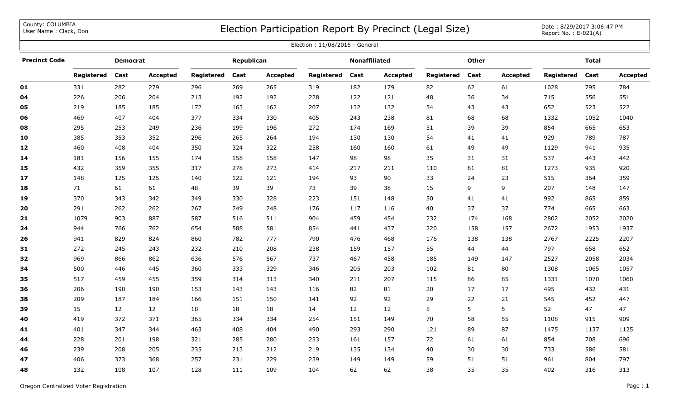County: COLUMBIA<br>User Name: Clack, Don

## COUNTY: COLUMBIA<br>User Name : Clack, Don Date : 8/29/2017 3:06:47 PM

| Election: 11/08/2016 - General |            |                 |                 |            |            |                 |            |                      |                 |            |              |                 |            |              |          |
|--------------------------------|------------|-----------------|-----------------|------------|------------|-----------------|------------|----------------------|-----------------|------------|--------------|-----------------|------------|--------------|----------|
| <b>Precinct Code</b>           |            | <b>Democrat</b> |                 |            | Republican |                 |            | <b>Nonaffiliated</b> |                 |            | <b>Other</b> |                 |            | <b>Total</b> |          |
|                                | Registered | Cast            | <b>Accepted</b> | Registered | Cast       | <b>Accepted</b> | Registered | Cast                 | <b>Accepted</b> | Registered | Cast         | <b>Accepted</b> | Registered | Cast         | Accepted |
| 01                             | 331        | 282             | 279             | 296        | 269        | 265             | 319        | 182                  | 179             | 82         | 62           | 61              | 1028       | 795          | 784      |
| 04                             | 226        | 206             | 204             | 213        | 192        | 192             | 228        | 122                  | 121             | 48         | 36           | 34              | 715        | 556          | 551      |
| 05                             | 219        | 185             | 185             | 172        | 163        | 162             | 207        | 132                  | 132             | 54         | 43           | 43              | 652        | 523          | 522      |
| 06                             | 469        | 407             | 404             | 377        | 334        | 330             | 405        | 243                  | 238             | 81         | 68           | 68              | 1332       | 1052         | 1040     |
| 08                             | 295        | 253             | 249             | 236        | 199        | 196             | 272        | 174                  | 169             | 51         | 39           | 39              | 854        | 665          | 653      |
| 10                             | 385        | 353             | 352             | 296        | 265        | 264             | 194        | 130                  | 130             | 54         | 41           | 41              | 929        | 789          | 787      |
| 12                             | 460        | 408             | 404             | 350        | 324        | 322             | 258        | 160                  | 160             | 61         | 49           | 49              | 1129       | 941          | 935      |
| 14                             | 181        | 156             | 155             | 174        | 158        | 158             | 147        | 98                   | 98              | 35         | 31           | 31              | 537        | 443          | 442      |
| 15                             | 432        | 359             | 355             | 317        | 278        | 273             | 414        | 217                  | 211             | 110        | 81           | 81              | 1273       | 935          | 920      |
| 17                             | 148        | 125             | 125             | 140        | 122        | 121             | 194        | 93                   | 90              | 33         | 24           | 23              | 515        | 364          | 359      |
| 18                             | 71         | 61              | 61              | 48         | 39         | 39              | 73         | 39                   | 38              | 15         | 9            | 9               | 207        | 148          | 147      |
| 19                             | 370        | 343             | 342             | 349        | 330        | 328             | 223        | 151                  | 148             | 50         | 41           | 41              | 992        | 865          | 859      |
| 20                             | 291        | 262             | 262             | 267        | 249        | 248             | 176        | 117                  | 116             | 40         | 37           | 37              | 774        | 665          | 663      |
| 21                             | 1079       | 903             | 887             | 587        | 516        | 511             | 904        | 459                  | 454             | 232        | 174          | 168             | 2802       | 2052         | 2020     |
| 24                             | 944        | 766             | 762             | 654        | 588        | 581             | 854        | 441                  | 437             | 220        | 158          | 157             | 2672       | 1953         | 1937     |
| 26                             | 941        | 829             | 824             | 860        | 782        | 777             | 790        | 476                  | 468             | 176        | 138          | 138             | 2767       | 2225         | 2207     |
| 31                             | 272        | 245             | 243             | 232        | 210        | 208             | 238        | 159                  | 157             | 55         | 44           | 44              | 797        | 658          | 652      |
| 32                             | 969        | 866             | 862             | 636        | 576        | 567             | 737        | 467                  | 458             | 185        | 149          | 147             | 2527       | 2058         | 2034     |
| 34                             | 500        | 446             | 445             | 360        | 333        | 329             | 346        | 205                  | 203             | 102        | 81           | 80              | 1308       | 1065         | 1057     |
| 35                             | 517        | 459             | 455             | 359        | 314        | 313             | 340        | 211                  | 207             | 115        | 86           | 85              | 1331       | 1070         | 1060     |
| 36                             | 206        | 190             | 190             | 153        | 143        | 143             | 116        | 82                   | 81              | 20         | 17           | 17              | 495        | 432          | 431      |
| 38                             | 209        | 187             | 184             | 166        | 151        | 150             | 141        | 92                   | 92              | 29         | 22           | 21              | 545        | 452          | 447      |
| 39                             | 15         | 12              | 12              | 18         | 18         | 18              | 14         | 12                   | 12              | 5          | 5            | 5               | 52         | 47           | 47       |
| 40                             | 419        | 372             | 371             | 365        | 334        | 334             | 254        | 151                  | 149             | 70         | 58           | 55              | 1108       | 915          | 909      |
| 41                             | 401        | 347             | 344             | 463        | 408        | 404             | 490        | 293                  | 290             | 121        | 89           | 87              | 1475       | 1137         | 1125     |
| 44                             | 228        | 201             | 198             | 321        | 285        | 280             | 233        | 161                  | 157             | 72         | 61           | 61              | 854        | 708          | 696      |
| 46                             | 239        | 208             | 205             | 235        | 213        | 212             | 219        | 135                  | 134             | 40         | 30           | 30              | 733        | 586          | 581      |
| 47                             | 406        | 373             | 368             | 257        | 231        | 229             | 239        | 149                  | 149             | 59         | 51           | 51              | 961        | 804          | 797      |
| 48                             | 132        | 108             | 107             | 128        | 111        | 109             | 104        | 62                   | 62              | 38         | 35           | 35              | 402        | 316          | 313      |